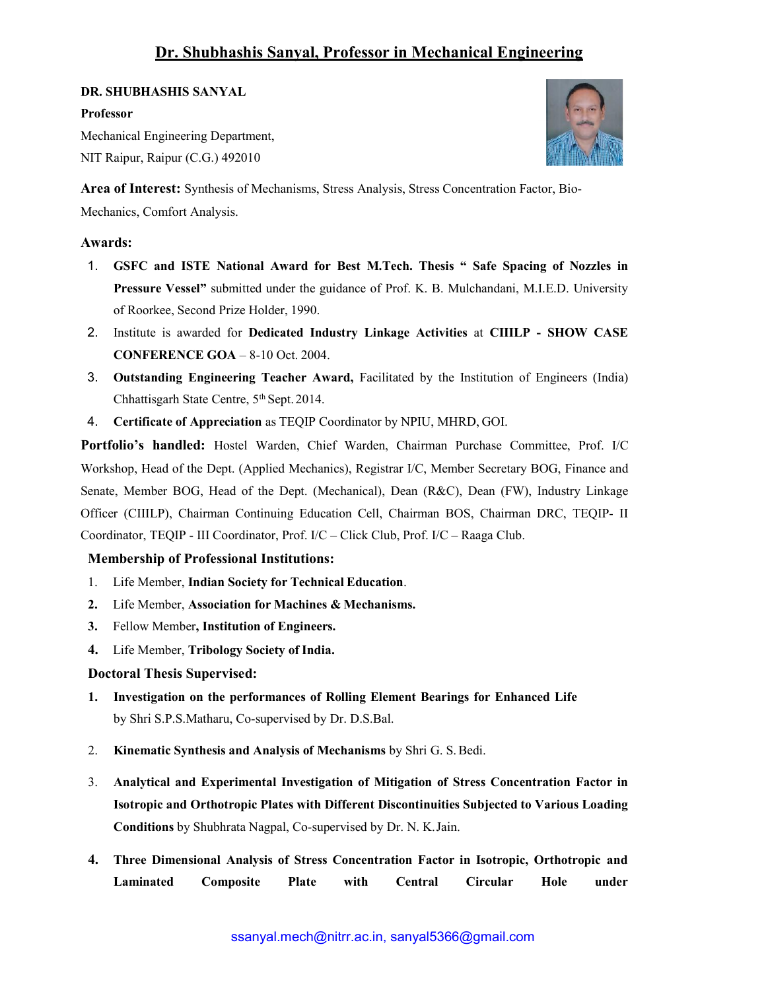## DR. SHUBHASHIS SANYAL

#### Professor

Mechanical Engineering Department, NIT Raipur, Raipur (C.G.) 492010



Area of Interest: Synthesis of Mechanisms, Stress Analysis, Stress Concentration Factor, Bio-

Mechanics, Comfort Analysis.

## Awards:

- 1. GSFC and ISTE National Award for Best M.Tech. Thesis " Safe Spacing of Nozzles in Pressure Vessel" submitted under the guidance of Prof. K. B. Mulchandani, M.I.E.D. University of Roorkee, Second Prize Holder, 1990.
- 2. Institute is awarded for Dedicated Industry Linkage Activities at CIIILP SHOW CASE CONFERENCE GOA – 8-10 Oct. 2004.
- 3. Outstanding Engineering Teacher Award, Facilitated by the Institution of Engineers (India) Chhattisgarh State Centre, 5th Sept. 2014.
- 4. Certificate of Appreciation as TEQIP Coordinator by NPIU, MHRD, GOI.

Portfolio's handled: Hostel Warden, Chief Warden, Chairman Purchase Committee, Prof. I/C Workshop, Head of the Dept. (Applied Mechanics), Registrar I/C, Member Secretary BOG, Finance and Senate, Member BOG, Head of the Dept. (Mechanical), Dean (R&C), Dean (FW), Industry Linkage Officer (CIIILP), Chairman Continuing Education Cell, Chairman BOS, Chairman DRC, TEQIP- II Coordinator, TEQIP - III Coordinator, Prof. I/C – Click Club, Prof. I/C – Raaga Club.

#### Membership of Professional Institutions:

- 1. Life Member, Indian Society for Technical Education.
- 2. Life Member, Association for Machines & Mechanisms.
- 3. Fellow Member, Institution of Engineers.
- 4. Life Member, Tribology Society of India.

## Doctoral Thesis Supervised:

- 1. Investigation on the performances of Rolling Element Bearings for Enhanced Life by Shri S.P.S.Matharu, Co-supervised by Dr. D.S.Bal.
- 2. Kinematic Synthesis and Analysis of Mechanisms by Shri G. S. Bedi.
- 3. Analytical and Experimental Investigation of Mitigation of Stress Concentration Factor in Isotropic and Orthotropic Plates with Different Discontinuities Subjected to Various Loading Conditions by Shubhrata Nagpal, Co-supervised by Dr. N. K. Jain.
- 4. Three Dimensional Analysis of Stress Concentration Factor in Isotropic, Orthotropic and Laminated Composite Plate with Central Circular Hole under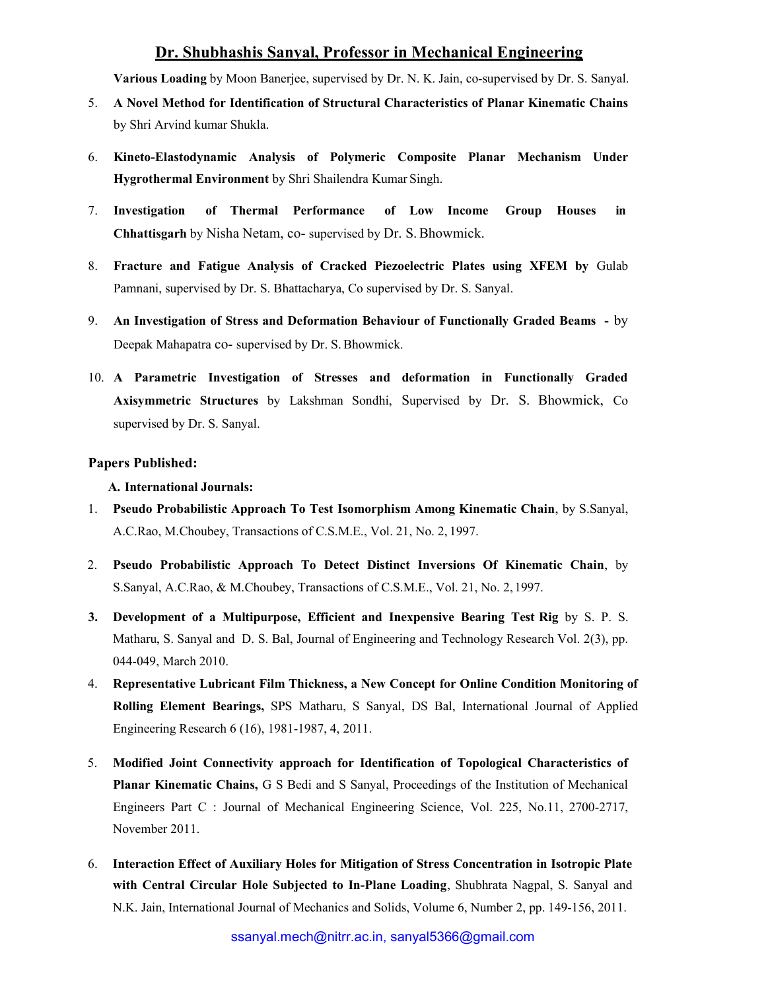Various Loading by Moon Banerjee, supervised by Dr. N. K. Jain, co-supervised by Dr. S. Sanyal.

- 5. A Novel Method for Identification of Structural Characteristics of Planar Kinematic Chains by Shri Arvind kumar Shukla.
- 6. Kineto-Elastodynamic Analysis of Polymeric Composite Planar Mechanism Under Hygrothermal Environment by Shri Shailendra Kumar Singh.
- 7. Investigation of Thermal Performance of Low Income Group Houses in Chhattisgarh by Nisha Netam, co- supervised by Dr. S. Bhowmick.
- 8. Fracture and Fatigue Analysis of Cracked Piezoelectric Plates using XFEM by Gulab Pamnani, supervised by Dr. S. Bhattacharya, Co supervised by Dr. S. Sanyal.
- 9. An Investigation of Stress and Deformation Behaviour of Functionally Graded Beams by Deepak Mahapatra co- supervised by Dr. S. Bhowmick.
- 10. A Parametric Investigation of Stresses and deformation in Functionally Graded Axisymmetric Structures by Lakshman Sondhi, Supervised by Dr. S. Bhowmick, Co supervised by Dr. S. Sanyal.

#### Papers Published:

#### A. International Journals:

- 1. Pseudo Probabilistic Approach To Test Isomorphism Among Kinematic Chain, by S.Sanyal, A.C.Rao, M.Choubey, Transactions of C.S.M.E., Vol. 21, No. 2, 1997.
- 2. Pseudo Probabilistic Approach To Detect Distinct Inversions Of Kinematic Chain, by S.Sanyal, A.C.Rao, & M.Choubey, Transactions of C.S.M.E., Vol. 21, No. 2, 1997.
- 3. Development of a Multipurpose, Efficient and Inexpensive Bearing Test Rig by S. P. S. Matharu, S. Sanyal and D. S. Bal, Journal of Engineering and Technology Research Vol. 2(3), pp. 044-049, March 2010.
- 4. Representative Lubricant Film Thickness, a New Concept for Online Condition Monitoring of Rolling Element Bearings, SPS Matharu, S Sanyal, DS Bal, International Journal of Applied Engineering Research 6 (16), 1981-1987, 4, 2011.
- 5. Modified Joint Connectivity approach for Identification of Topological Characteristics of Planar Kinematic Chains, G S Bedi and S Sanyal, Proceedings of the Institution of Mechanical Engineers Part C : Journal of Mechanical Engineering Science, Vol. 225, No.11, 2700-2717, November 2011.
- 6. Interaction Effect of Auxiliary Holes for Mitigation of Stress Concentration in Isotropic Plate with Central Circular Hole Subjected to In-Plane Loading, Shubhrata Nagpal, S. Sanyal and N.K. Jain, International Journal of Mechanics and Solids, Volume 6, Number 2, pp. 149-156, 2011.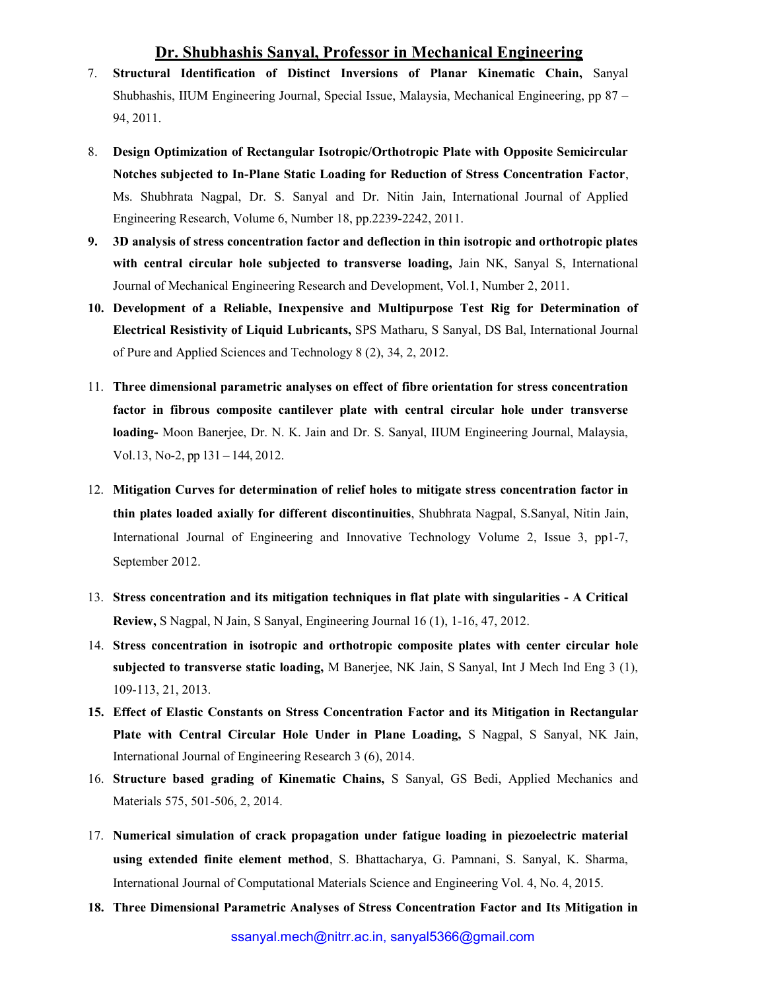- 7. Structural Identification of Distinct Inversions of Planar Kinematic Chain, Sanyal Shubhashis, IIUM Engineering Journal, Special Issue, Malaysia, Mechanical Engineering, pp 87 – 94, 2011.
- 8. Design Optimization of Rectangular Isotropic/Orthotropic Plate with Opposite Semicircular Notches subjected to In-Plane Static Loading for Reduction of Stress Concentration Factor, Ms. Shubhrata Nagpal, Dr. S. Sanyal and Dr. Nitin Jain, International Journal of Applied Engineering Research, Volume 6, Number 18, pp.2239-2242, 2011.
- 9. 3D analysis of stress concentration factor and deflection in thin isotropic and orthotropic plates with central circular hole subjected to transverse loading, Jain NK, Sanyal S, International Journal of Mechanical Engineering Research and Development, Vol.1, Number 2, 2011.
- 10. Development of a Reliable, Inexpensive and Multipurpose Test Rig for Determination of Electrical Resistivity of Liquid Lubricants, SPS Matharu, S Sanyal, DS Bal, International Journal of Pure and Applied Sciences and Technology 8 (2), 34, 2, 2012.
- 11. Three dimensional parametric analyses on effect of fibre orientation for stress concentration factor in fibrous composite cantilever plate with central circular hole under transverse loading- Moon Banerjee, Dr. N. K. Jain and Dr. S. Sanyal, IIUM Engineering Journal, Malaysia, Vol.13, No-2, pp 131 – 144, 2012.
- 12. Mitigation Curves for determination of relief holes to mitigate stress concentration factor in thin plates loaded axially for different discontinuities, Shubhrata Nagpal, S.Sanyal, Nitin Jain, International Journal of Engineering and Innovative Technology Volume 2, Issue 3, pp1-7, September 2012.
- 13. Stress concentration and its mitigation techniques in flat plate with singularities A Critical Review, S Nagpal, N Jain, S Sanyal, Engineering Journal 16 (1), 1-16, 47, 2012.
- 14. Stress concentration in isotropic and orthotropic composite plates with center circular hole subjected to transverse static loading, M Banerjee, NK Jain, S Sanyal, Int J Mech Ind Eng 3 (1), 109-113, 21, 2013.
- 15. Effect of Elastic Constants on Stress Concentration Factor and its Mitigation in Rectangular Plate with Central Circular Hole Under in Plane Loading, S Nagpal, S Sanyal, NK Jain, International Journal of Engineering Research 3 (6), 2014.
- 16. Structure based grading of Kinematic Chains, S Sanyal, GS Bedi, Applied Mechanics and Materials 575, 501-506, 2, 2014.
- 17. Numerical simulation of crack propagation under fatigue loading in piezoelectric material using extended finite element method, S. Bhattacharya, G. Pamnani, S. Sanyal, K. Sharma, International Journal of Computational Materials Science and Engineering Vol. 4, No. 4, 2015.
- 18. Three Dimensional Parametric Analyses of Stress Concentration Factor and Its Mitigation in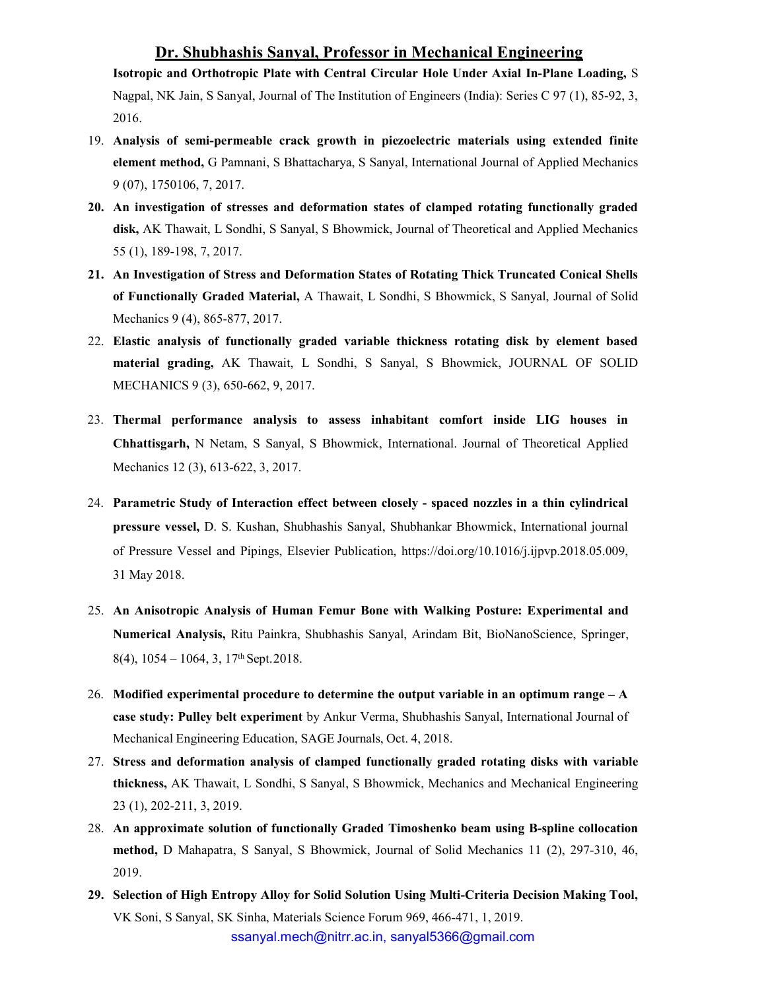Isotropic and Orthotropic Plate with Central Circular Hole Under Axial In-Plane Loading, S Nagpal, NK Jain, S Sanyal, Journal of The Institution of Engineers (India): Series C 97 (1), 85-92, 3, 2016.

- 19. Analysis of semi-permeable crack growth in piezoelectric materials using extended finite element method, G Pamnani, S Bhattacharya, S Sanyal, International Journal of Applied Mechanics 9 (07), 1750106, 7, 2017.
- 20. An investigation of stresses and deformation states of clamped rotating functionally graded disk, AK Thawait, L Sondhi, S Sanyal, S Bhowmick, Journal of Theoretical and Applied Mechanics 55 (1), 189-198, 7, 2017.
- 21. An Investigation of Stress and Deformation States of Rotating Thick Truncated Conical Shells of Functionally Graded Material, A Thawait, L Sondhi, S Bhowmick, S Sanyal, Journal of Solid Mechanics 9 (4), 865-877, 2017.
- 22. Elastic analysis of functionally graded variable thickness rotating disk by element based material grading, AK Thawait, L Sondhi, S Sanyal, S Bhowmick, JOURNAL OF SOLID MECHANICS 9 (3), 650-662, 9, 2017.
- 23. Thermal performance analysis to assess inhabitant comfort inside LIG houses in Chhattisgarh, N Netam, S Sanyal, S Bhowmick, International. Journal of Theoretical Applied Mechanics 12 (3), 613-622, 3, 2017.
- 24. Parametric Study of Interaction effect between closely spaced nozzles in a thin cylindrical pressure vessel, D. S. Kushan, Shubhashis Sanyal, Shubhankar Bhowmick, International journal of Pressure Vessel and Pipings, Elsevier Publication, https://doi.org/10.1016/j.ijpvp.2018.05.009, 31 May 2018.
- 25. An Anisotropic Analysis of Human Femur Bone with Walking Posture: Experimental and Numerical Analysis, Ritu Painkra, Shubhashis Sanyal, Arindam Bit, BioNanoScience, Springer,  $8(4)$ ,  $1054 - 1064$ , 3,  $17<sup>th</sup>$  Sept. 2018.
- 26. Modified experimental procedure to determine the output variable in an optimum range A case study: Pulley belt experiment by Ankur Verma, Shubhashis Sanyal, International Journal of Mechanical Engineering Education, SAGE Journals, Oct. 4, 2018.
- 27. Stress and deformation analysis of clamped functionally graded rotating disks with variable thickness, AK Thawait, L Sondhi, S Sanyal, S Bhowmick, Mechanics and Mechanical Engineering 23 (1), 202-211, 3, 2019.
- 28. An approximate solution of functionally Graded Timoshenko beam using B-spline collocation method, D Mahapatra, S Sanyal, S Bhowmick, Journal of Solid Mechanics 11 (2), 297-310, 46, 2019.
- ssanyal.mech@nitrr.ac.in, sanyal5366@gmail.com 29. Selection of High Entropy Alloy for Solid Solution Using Multi-Criteria Decision Making Tool, VK Soni, S Sanyal, SK Sinha, Materials Science Forum 969, 466-471, 1, 2019.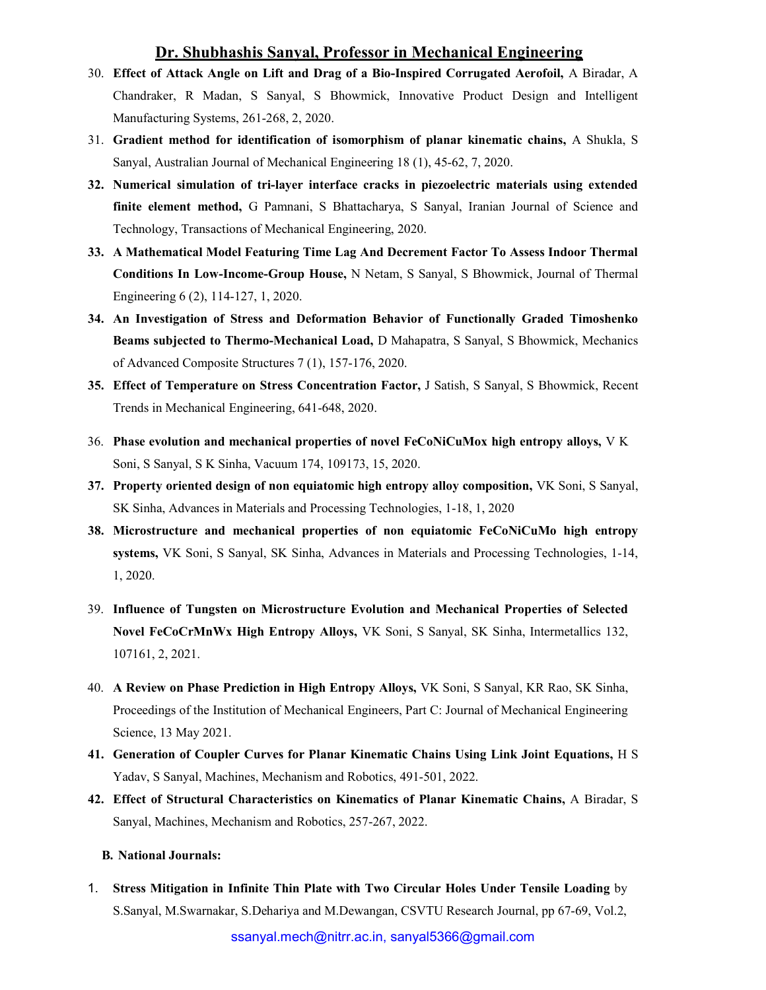- 30. Effect of Attack Angle on Lift and Drag of a Bio-Inspired Corrugated Aerofoil, A Biradar, A Chandraker, R Madan, S Sanyal, S Bhowmick, Innovative Product Design and Intelligent Manufacturing Systems, 261-268, 2, 2020.
- 31. Gradient method for identification of isomorphism of planar kinematic chains, A Shukla, S Sanyal, Australian Journal of Mechanical Engineering 18 (1), 45-62, 7, 2020.
- 32. Numerical simulation of tri-layer interface cracks in piezoelectric materials using extended finite element method, G Pamnani, S Bhattacharya, S Sanyal, Iranian Journal of Science and Technology, Transactions of Mechanical Engineering, 2020.
- 33. A Mathematical Model Featuring Time Lag And Decrement Factor To Assess Indoor Thermal Conditions In Low-Income-Group House, N Netam, S Sanyal, S Bhowmick, Journal of Thermal Engineering 6 (2), 114-127, 1, 2020.
- 34. An Investigation of Stress and Deformation Behavior of Functionally Graded Timoshenko Beams subjected to Thermo-Mechanical Load, D Mahapatra, S Sanyal, S Bhowmick, Mechanics of Advanced Composite Structures 7 (1), 157-176, 2020.
- 35. Effect of Temperature on Stress Concentration Factor, J Satish, S Sanyal, S Bhowmick, Recent Trends in Mechanical Engineering, 641-648, 2020.
- 36. Phase evolution and mechanical properties of novel FeCoNiCuMox high entropy alloys, V K Soni, S Sanyal, S K Sinha, Vacuum 174, 109173, 15, 2020.
- 37. Property oriented design of non equiatomic high entropy alloy composition, VK Soni, S Sanyal, SK Sinha, Advances in Materials and Processing Technologies, 1-18, 1, 2020
- 38. Microstructure and mechanical properties of non equiatomic FeCoNiCuMo high entropy systems, VK Soni, S Sanyal, SK Sinha, Advances in Materials and Processing Technologies, 1-14, 1, 2020.
- 39. Influence of Tungsten on Microstructure Evolution and Mechanical Properties of Selected Novel FeCoCrMnWx High Entropy Alloys, VK Soni, S Sanyal, SK Sinha, Intermetallics 132, 107161, 2, 2021.
- 40. A Review on Phase Prediction in High Entropy Alloys, VK Soni, S Sanyal, KR Rao, SK Sinha, Proceedings of the Institution of Mechanical Engineers, Part C: Journal of Mechanical Engineering Science, 13 May 2021.
- 41. Generation of Coupler Curves for Planar Kinematic Chains Using Link Joint Equations, H S Yadav, S Sanyal, Machines, Mechanism and Robotics, 491-501, 2022.
- 42. Effect of Structural Characteristics on Kinematics of Planar Kinematic Chains, A Biradar, S Sanyal, Machines, Mechanism and Robotics, 257-267, 2022.

#### B. National Journals:

1. Stress Mitigation in Infinite Thin Plate with Two Circular Holes Under Tensile Loading by S.Sanyal, M.Swarnakar, S.Dehariya and M.Dewangan, CSVTU Research Journal, pp 67-69, Vol.2,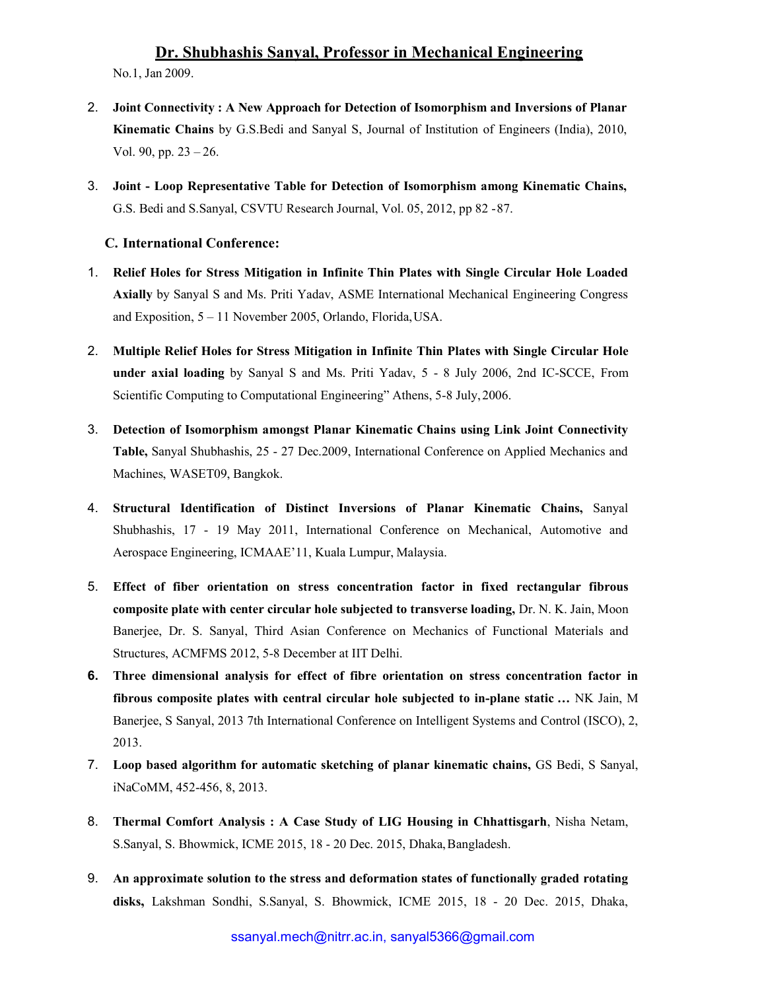No.1, Jan 2009.

- 2. Joint Connectivity : A New Approach for Detection of Isomorphism and Inversions of Planar Kinematic Chains by G.S.Bedi and Sanyal S, Journal of Institution of Engineers (India), 2010, Vol. 90, pp. 23 – 26.
- 3. Joint Loop Representative Table for Detection of Isomorphism among Kinematic Chains, G.S. Bedi and S.Sanyal, CSVTU Research Journal, Vol. 05, 2012, pp 82 - 87.

## C. International Conference:

- 1. Relief Holes for Stress Mitigation in Infinite Thin Plates with Single Circular Hole Loaded Axially by Sanyal S and Ms. Priti Yadav, ASME International Mechanical Engineering Congress and Exposition, 5 – 11 November 2005, Orlando, Florida, USA.
- 2. Multiple Relief Holes for Stress Mitigation in Infinite Thin Plates with Single Circular Hole under axial loading by Sanyal S and Ms. Priti Yadav, 5 - 8 July 2006, 2nd IC-SCCE, From Scientific Computing to Computational Engineering" Athens, 5-8 July, 2006.
- 3. Detection of Isomorphism amongst Planar Kinematic Chains using Link Joint Connectivity Table, Sanyal Shubhashis, 25 - 27 Dec.2009, International Conference on Applied Mechanics and Machines, WASET09, Bangkok.
- 4. Structural Identification of Distinct Inversions of Planar Kinematic Chains, Sanyal Shubhashis, 17 - 19 May 2011, International Conference on Mechanical, Automotive and Aerospace Engineering, ICMAAE'11, Kuala Lumpur, Malaysia.
- 5. Effect of fiber orientation on stress concentration factor in fixed rectangular fibrous composite plate with center circular hole subjected to transverse loading, Dr. N. K. Jain, Moon Banerjee, Dr. S. Sanyal, Third Asian Conference on Mechanics of Functional Materials and Structures, ACMFMS 2012, 5-8 December at IIT Delhi.
- 6. Three dimensional analysis for effect of fibre orientation on stress concentration factor in fibrous composite plates with central circular hole subjected to in-plane static ... NK Jain, M Banerjee, S Sanyal, 2013 7th International Conference on Intelligent Systems and Control (ISCO), 2, 2013.
- 7. Loop based algorithm for automatic sketching of planar kinematic chains, GS Bedi, S Sanyal, iNaCoMM, 452-456, 8, 2013.
- 8. Thermal Comfort Analysis : A Case Study of LIG Housing in Chhattisgarh, Nisha Netam, S.Sanyal, S. Bhowmick, ICME 2015, 18 - 20 Dec. 2015, Dhaka, Bangladesh.
- 9. An approximate solution to the stress and deformation states of functionally graded rotating disks, Lakshman Sondhi, S.Sanyal, S. Bhowmick, ICME 2015, 18 - 20 Dec. 2015, Dhaka,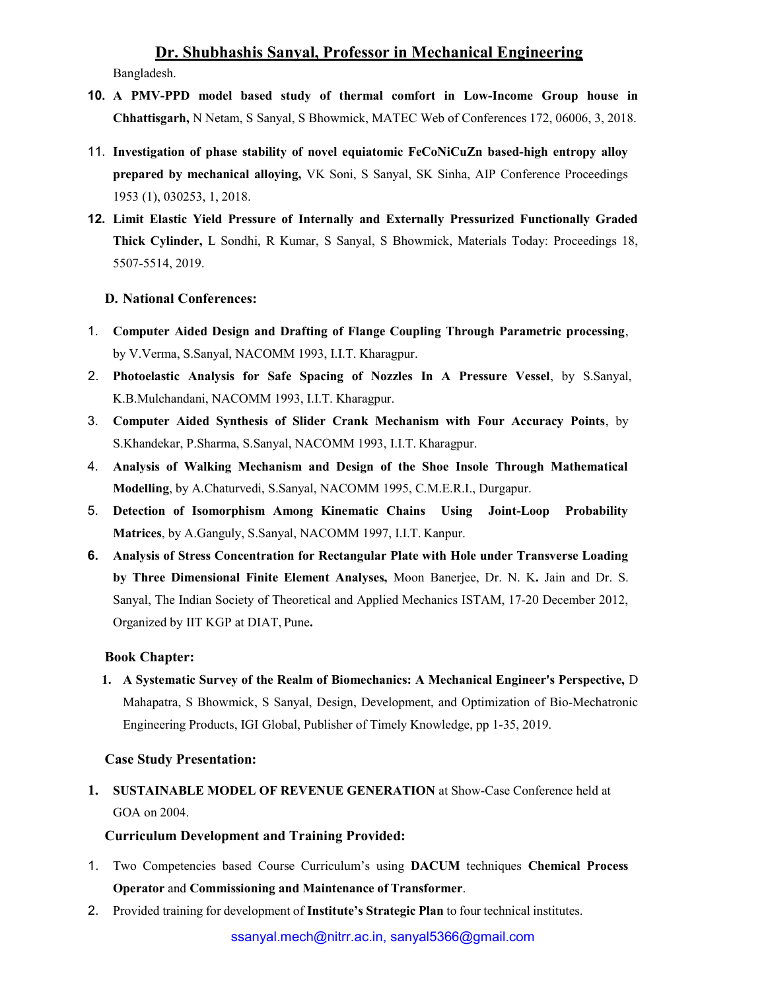Bangladesh.

- 10. A PMV-PPD model based study of thermal comfort in Low-Income Group house in Chhattisgarh, N Netam, S Sanyal, S Bhowmick, MATEC Web of Conferences 172, 06006, 3, 2018.
- 11. Investigation of phase stability of novel equiatomic FeCoNiCuZn based-high entropy alloy prepared by mechanical alloying, VK Soni, S Sanyal, SK Sinha, AIP Conference Proceedings 1953 (1), 030253, 1, 2018.
- 12. Limit Elastic Yield Pressure of Internally and Externally Pressurized Functionally Graded Thick Cylinder, L Sondhi, R Kumar, S Sanyal, S Bhowmick, Materials Today: Proceedings 18, 5507-5514, 2019.

## D. National Conferences:

- 1. Computer Aided Design and Drafting of Flange Coupling Through Parametric processing, by V.Verma, S.Sanyal, NACOMM 1993, I.I.T. Kharagpur.
- 2. Photoelastic Analysis for Safe Spacing of Nozzles In A Pressure Vessel, by S.Sanyal, K.B.Mulchandani, NACOMM 1993, I.I.T. Kharagpur.
- 3. Computer Aided Synthesis of Slider Crank Mechanism with Four Accuracy Points, by S.Khandekar, P.Sharma, S.Sanyal, NACOMM 1993, I.I.T. Kharagpur.
- 4. Analysis of Walking Mechanism and Design of the Shoe Insole Through Mathematical Modelling, by A.Chaturvedi, S.Sanyal, NACOMM 1995, C.M.E.R.I., Durgapur.
- 5. Detection of Isomorphism Among Kinematic Chains Using Joint-Loop Probability Matrices, by A.Ganguly, S.Sanyal, NACOMM 1997, I.I.T. Kanpur.
- 6. Analysis of Stress Concentration for Rectangular Plate with Hole under Transverse Loading by Three Dimensional Finite Element Analyses, Moon Banerjee, Dr. N. K. Jain and Dr. S. Sanyal, The Indian Society of Theoretical and Applied Mechanics ISTAM, 17-20 December 2012, Organized by IIT KGP at DIAT, Pune.

#### Book Chapter:

1. A Systematic Survey of the Realm of Biomechanics: A Mechanical Engineer's Perspective, D Mahapatra, S Bhowmick, S Sanyal, Design, Development, and Optimization of Bio-Mechatronic Engineering Products, IGI Global, Publisher of Timely Knowledge, pp 1-35, 2019.

#### Case Study Presentation:

1. SUSTAINABLE MODEL OF REVENUE GENERATION at Show-Case Conference held at GOA on 2004.

## Curriculum Development and Training Provided:

- 1. Two Competencies based Course Curriculum's using DACUM techniques Chemical Process Operator and Commissioning and Maintenance of Transformer.
- 2. Provided training for development of Institute's Strategic Plan to four technical institutes.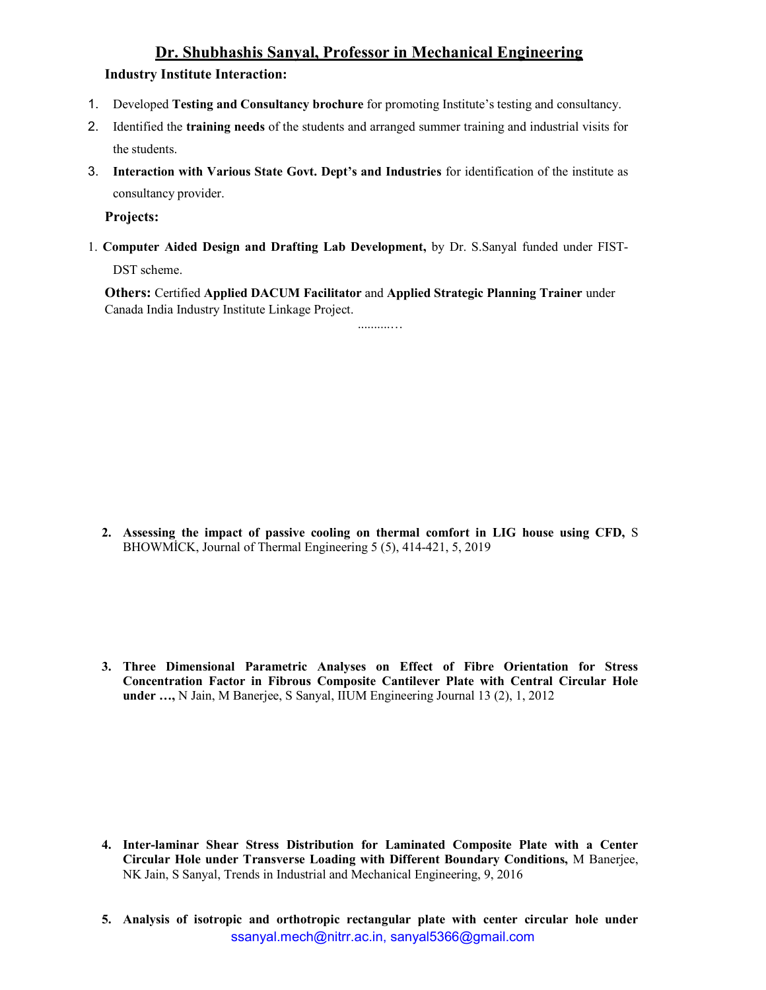## Industry Institute Interaction:

- 1. Developed Testing and Consultancy brochure for promoting Institute's testing and consultancy.
- 2. Identified the training needs of the students and arranged summer training and industrial visits for the students.
- 3. Interaction with Various State Govt. Dept's and Industries for identification of the institute as consultancy provider.

Projects:

1. Computer Aided Design and Drafting Lab Development, by Dr. S.Sanyal funded under FIST-DST scheme.

Others: Certified Applied DACUM Facilitator and Applied Strategic Planning Trainer under Canada India Industry Institute Linkage Project.

..........…

2. Assessing the impact of passive cooling on thermal comfort in LIG house using CFD, S BHOWMİCK, Journal of Thermal Engineering 5 (5), 414-421, 5, 2019

3. Three Dimensional Parametric Analyses on Effect of Fibre Orientation for Stress Concentration Factor in Fibrous Composite Cantilever Plate with Central Circular Hole under …, N Jain, M Banerjee, S Sanyal, IIUM Engineering Journal 13 (2), 1, 2012

- 4. Inter-laminar Shear Stress Distribution for Laminated Composite Plate with a Center Circular Hole under Transverse Loading with Different Boundary Conditions, M Banerjee, NK Jain, S Sanyal, Trends in Industrial and Mechanical Engineering, 9, 2016
- ssanyal.mech@nitrr.ac.in, sanyal5366@gmail.com 5. Analysis of isotropic and orthotropic rectangular plate with center circular hole under